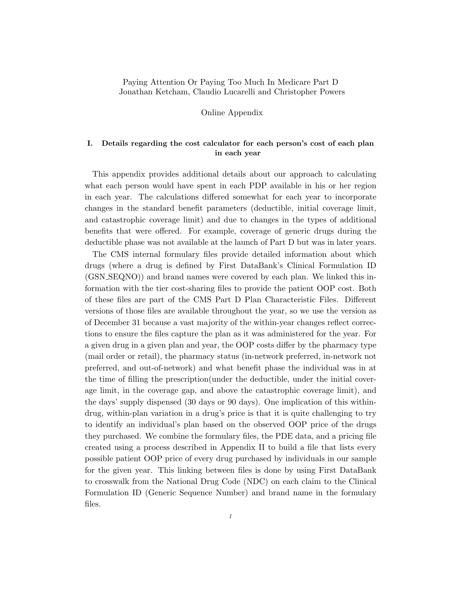## Paying Attention Or Paying Too Much In Medicare Part D Jonathan Ketcham, Claudio Lucarelli and Christopher Powers

Online Appendix

## I. Details regarding the cost calculator for each person's cost of each plan in each year

This appendix provides additional details about our approach to calculating what each person would have spent in each PDP available in his or her region in each year. The calculations differed somewhat for each year to incorporate changes in the standard benefit parameters (deductible, initial coverage limit, and catastrophic coverage limit) and due to changes in the types of additional benefits that were offered. For example, coverage of generic drugs during the deductible phase was not available at the launch of Part D but was in later years.

The CMS internal formulary files provide detailed information about which drugs (where a drug is defined by First DataBank's Clinical Formulation ID (GSN SEQNO)) and brand names were covered by each plan. We linked this information with the tier cost-sharing files to provide the patient OOP cost. Both of these files are part of the CMS Part D Plan Characteristic Files. Different versions of those files are available throughout the year, so we use the version as of December 31 because a vast majority of the within-year changes reflect corrections to ensure the files capture the plan as it was administered for the year. For a given drug in a given plan and year, the OOP costs differ by the pharmacy type (mail order or retail), the pharmacy status (in-network preferred, in-network not preferred, and out-of-network) and what benefit phase the individual was in at the time of filling the prescription(under the deductible, under the initial coverage limit, in the coverage gap, and above the catastrophic coverage limit), and the days' supply dispensed (30 days or 90 days). One implication of this withindrug, within-plan variation in a drug's price is that it is quite challenging to try to identify an individual's plan based on the observed OOP price of the drugs they purchased. We combine the formulary files, the PDE data, and a pricing file created using a process described in Appendix II to build a file that lists every possible patient OOP price of every drug purchased by individuals in our sample for the given year. This linking between files is done by using First DataBank to crosswalk from the National Drug Code (NDC) on each claim to the Clinical Formulation ID (Generic Sequence Number) and brand name in the formulary files.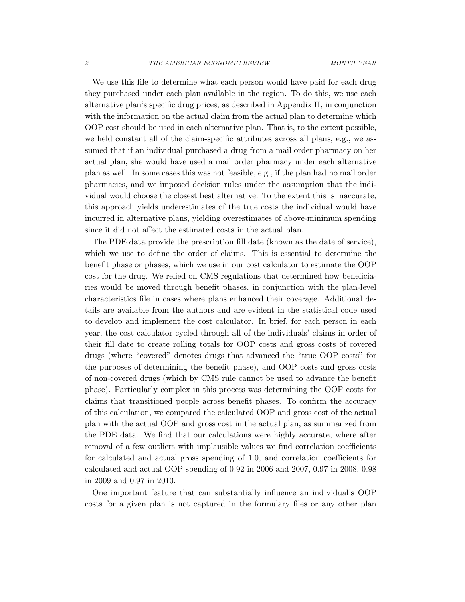We use this file to determine what each person would have paid for each drug they purchased under each plan available in the region. To do this, we use each alternative plan's specific drug prices, as described in Appendix II, in conjunction with the information on the actual claim from the actual plan to determine which OOP cost should be used in each alternative plan. That is, to the extent possible, we held constant all of the claim-specific attributes across all plans, e.g., we assumed that if an individual purchased a drug from a mail order pharmacy on her actual plan, she would have used a mail order pharmacy under each alternative plan as well. In some cases this was not feasible, e.g., if the plan had no mail order pharmacies, and we imposed decision rules under the assumption that the individual would choose the closest best alternative. To the extent this is inaccurate, this approach yields underestimates of the true costs the individual would have incurred in alternative plans, yielding overestimates of above-minimum spending since it did not affect the estimated costs in the actual plan.

The PDE data provide the prescription fill date (known as the date of service), which we use to define the order of claims. This is essential to determine the benefit phase or phases, which we use in our cost calculator to estimate the OOP cost for the drug. We relied on CMS regulations that determined how beneficiaries would be moved through benefit phases, in conjunction with the plan-level characteristics file in cases where plans enhanced their coverage. Additional details are available from the authors and are evident in the statistical code used to develop and implement the cost calculator. In brief, for each person in each year, the cost calculator cycled through all of the individuals' claims in order of their fill date to create rolling totals for OOP costs and gross costs of covered drugs (where "covered" denotes drugs that advanced the "true OOP costs" for the purposes of determining the benefit phase), and OOP costs and gross costs of non-covered drugs (which by CMS rule cannot be used to advance the benefit phase). Particularly complex in this process was determining the OOP costs for claims that transitioned people across benefit phases. To confirm the accuracy of this calculation, we compared the calculated OOP and gross cost of the actual plan with the actual OOP and gross cost in the actual plan, as summarized from the PDE data. We find that our calculations were highly accurate, where after removal of a few outliers with implausible values we find correlation coefficients for calculated and actual gross spending of 1.0, and correlation coefficients for calculated and actual OOP spending of 0.92 in 2006 and 2007, 0.97 in 2008, 0.98 in 2009 and 0.97 in 2010.

One important feature that can substantially influence an individual's OOP costs for a given plan is not captured in the formulary files or any other plan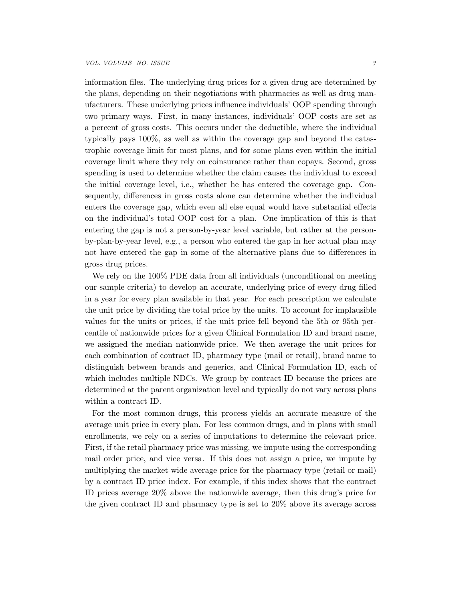information files. The underlying drug prices for a given drug are determined by the plans, depending on their negotiations with pharmacies as well as drug manufacturers. These underlying prices influence individuals' OOP spending through two primary ways. First, in many instances, individuals' OOP costs are set as a percent of gross costs. This occurs under the deductible, where the individual typically pays 100%, as well as within the coverage gap and beyond the catastrophic coverage limit for most plans, and for some plans even within the initial coverage limit where they rely on coinsurance rather than copays. Second, gross spending is used to determine whether the claim causes the individual to exceed the initial coverage level, i.e., whether he has entered the coverage gap. Consequently, differences in gross costs alone can determine whether the individual enters the coverage gap, which even all else equal would have substantial effects on the individual's total OOP cost for a plan. One implication of this is that entering the gap is not a person-by-year level variable, but rather at the personby-plan-by-year level, e.g., a person who entered the gap in her actual plan may not have entered the gap in some of the alternative plans due to differences in gross drug prices.

We rely on the 100% PDE data from all individuals (unconditional on meeting our sample criteria) to develop an accurate, underlying price of every drug filled in a year for every plan available in that year. For each prescription we calculate the unit price by dividing the total price by the units. To account for implausible values for the units or prices, if the unit price fell beyond the 5th or 95th percentile of nationwide prices for a given Clinical Formulation ID and brand name, we assigned the median nationwide price. We then average the unit prices for each combination of contract ID, pharmacy type (mail or retail), brand name to distinguish between brands and generics, and Clinical Formulation ID, each of which includes multiple NDCs. We group by contract ID because the prices are determined at the parent organization level and typically do not vary across plans within a contract ID.

For the most common drugs, this process yields an accurate measure of the average unit price in every plan. For less common drugs, and in plans with small enrollments, we rely on a series of imputations to determine the relevant price. First, if the retail pharmacy price was missing, we impute using the corresponding mail order price, and vice versa. If this does not assign a price, we impute by multiplying the market-wide average price for the pharmacy type (retail or mail) by a contract ID price index. For example, if this index shows that the contract ID prices average 20% above the nationwide average, then this drug's price for the given contract ID and pharmacy type is set to 20% above its average across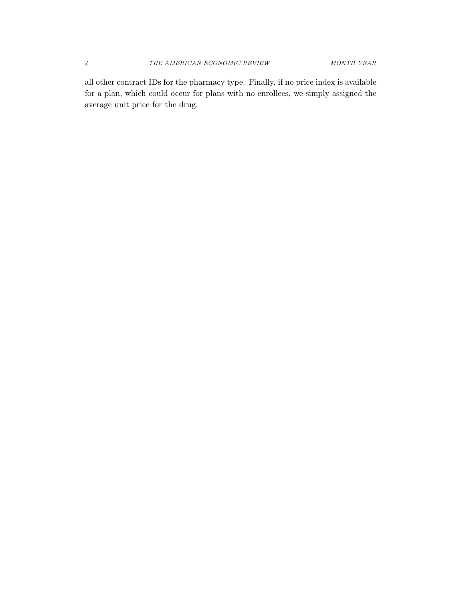all other contract IDs for the pharmacy type. Finally, if no price index is available for a plan, which could occur for plans with no enrollees, we simply assigned the average unit price for the drug.